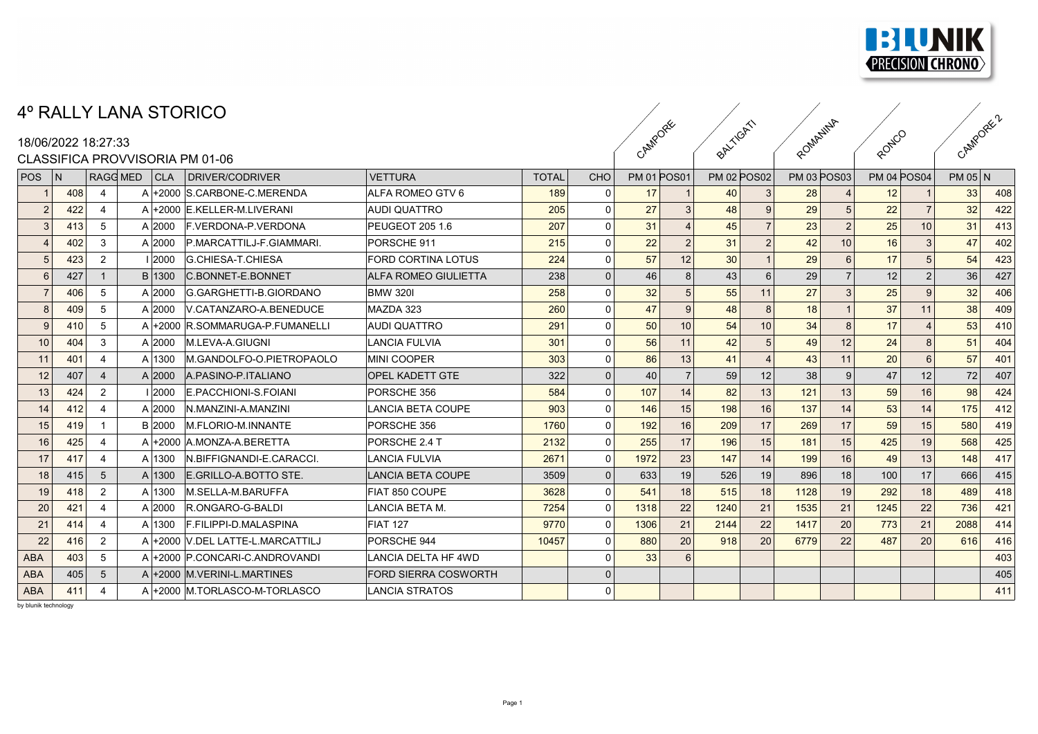

## 4º RALLY LANA STORICO

## CLASSIFICA PROVATISORIA PM 01-06

|            |     |                     | 4º RALLY LANA STORICO           |                                  |                             |              |              |                    |    |                    |    |                    |                 |                    |                 |         |     |
|------------|-----|---------------------|---------------------------------|----------------------------------|-----------------------------|--------------|--------------|--------------------|----|--------------------|----|--------------------|-----------------|--------------------|-----------------|---------|-----|
|            |     | 18/06/2022 18:27:33 |                                 |                                  |                             | CAMPORE      |              | BALTIGAT           |    | ROMANINA           |    | RONICO             |                 | CAMPORE 2          |                 |         |     |
|            |     |                     | CLASSIFICA PROVVISORIA PM 01-06 |                                  |                             |              |              |                    |    |                    |    |                    |                 |                    |                 |         |     |
| <b>POS</b> | N   | RAGG MED            | CLA                             | DRIVER/CODRIVER                  | <b>VETTURA</b>              | <b>TOTAL</b> | <b>CHO</b>   | <b>PM 01 POS01</b> |    | <b>PM 02 POS02</b> |    | <b>PM 03 POS03</b> |                 | <b>PM 04 POS04</b> |                 | PM 05 N |     |
|            | 408 | $\overline{4}$      |                                 | A +2000 S.CARBONE-C.MERENDA      | ALFA ROMEO GTV 6            | 189          | <sup>n</sup> | 17                 |    | 40                 |    | 28                 |                 | 12                 |                 | 33      | 408 |
|            | 422 | $\overline{4}$      |                                 | A +2000 E.KELLER-M.LIVERANI      | <b>AUDI QUATTRO</b>         | 205          | $\Omega$     | 27                 |    | 48                 |    | 29                 |                 | 22                 |                 | 32      | 422 |
|            | 413 | -5                  | A 2000                          | <b>F. VERDONA-P. VERDONA</b>     | PEUGEOT 205 1.6             | 207          | $\Omega$     | 31                 |    | 45                 |    | 23                 |                 | 25                 | 10 <sup>1</sup> | 31      | 413 |
|            | 402 | 3                   | A 2000                          | P.MARCATTILJ-F.GIAMMARI.         | PORSCHE 911                 | 215          | $\Omega$     | 22                 |    | 31                 |    | 42                 | 10 <sup>1</sup> | 16                 |                 | 47      | 402 |
|            | 423 | $\overline{2}$      | 1 2000                          | G.CHIESA-T.CHIESA                | <b>FORD CORTINA LOTUS</b>   | 224          | $\Omega$     | 57                 | 12 | 30                 |    | 29                 |                 | 17                 |                 | 54      | 423 |
|            | 427 | $\overline{1}$      | B 1300                          | <b>C.BONNET-E.BONNET</b>         | <b>ALFA ROMEO GIULIETTA</b> | 238          | $\Omega$     | 46                 | 8  | 43                 |    | 29                 |                 | 12                 |                 | 36      | 427 |
|            | 406 | -5                  | A 2000                          | G.GARGHETTI-B.GIORDANO           | <b>BMW 320I</b>             | 258          |              | 32                 |    | 55                 | 11 | 27                 |                 | 25                 |                 | 32      | 406 |
|            | 409 | 5                   | A 2000                          | V.CATANZARO-A.BENEDUCE           | MAZDA 323                   | 260          | $\Omega$     | 47                 | 9  | 48                 |    | 18                 |                 | 37                 |                 | 38      | 409 |
|            | 410 | -5                  |                                 | A +2000 R.SOMMARUGA-P.FUMANELLI  | <b>AUDI QUATTRO</b>         | 291          |              | 50                 | 10 | 54                 | 10 | 34                 |                 | 17                 |                 | 53      | 410 |
| 10         | 404 | 3                   | A 2000                          | M.LEVA-A.GIUGNI                  | <b>LANCIA FULVIA</b>        | 301          | $\Omega$     | 56                 | 11 | 42                 |    | 49                 | 12              | 24                 |                 | 51      | 404 |
| 11         | 401 | -4                  | A 1300                          | M.GANDOLFO-O.PIETROPAOLO         | MINI COOPER                 | 303          |              | 86                 | 13 | 41                 |    | 43                 | 11              | 20                 |                 | 57      | 401 |
| 12         | 407 | $\overline{4}$      | A 2000                          | A PASINO-P ITALIANO              | <b>OPEL KADETT GTE</b>      | 322          | $\Omega$     | 40                 |    | 59                 | 12 | 38                 | $\overline{9}$  | 47                 | 12              | 72      | 407 |
| 13         | 424 | $\overline{2}$      | 12000                           | E.PACCHIONI-S.FOIANI             | PORSCHE 356                 | 584          |              | 107                | 14 | 82                 | 13 | 121                | 13              | 59                 | 16              | 98      | 424 |
| 14         | 412 | -4                  | A 2000                          | N.MANZINI-A.MANZINI              | LANCIA BETA COUPE           | 903          | $\Omega$     | 146                | 15 | 198                | 16 | 137                | 14              | 53                 | 14              | 175     | 412 |
| 15         | 419 | -1                  | <b>B</b> 2000                   | <b>M.FLORIO-M.INNANTE</b>        | PORSCHE 356                 | 1760         |              | 192                | 16 | 209                | 17 | 269                | 17              | 59                 | 15              | 580     | 419 |
| 16         | 425 | 4                   |                                 | A +2000 A.MONZA-A.BERETTA        | PORSCHE 2.4 T               | 2132         | $\Omega$     | 255                | 17 | 196                | 15 | 181                | 15              | 425                | 19              | 568     | 425 |
| 17         | 417 | $\overline{4}$      | A 1300                          | IN.BIFFIGNANDI-E.CARACCI.        | <b>LANCIA FULVIA</b>        | 2671         | $\Omega$     | 1972               | 23 | 147                | 14 | 199                | 16              | 49                 | 13              | 148     | 417 |
| 18         | 415 | $5\overline{)}$     | A 1300                          | E.GRILLO-A.BOTTO STE.            | <b>LANCIA BETA COUPE</b>    | 3509         |              | 633                | 19 | 526                | 19 | 896                | 18              | 100                | 17              | 666     | 415 |
| 19         | 418 | $\overline{2}$      | A 1300                          | <b>M.SELLA-M.BARUFFA</b>         | <b>FIAT 850 COUPE</b>       | 3628         |              | 541                | 18 | 515                | 18 | 1128               | 19              | 292                | 18              | 489     | 418 |
| 20         | 421 | -4                  | $A$  2000                       | R.ONGARO-G-BALDI                 | LANCIA BETA M.              | 7254         |              | 1318               | 22 | 1240               | 21 | 1535               | 21              | 1245               | 22              | 736     | 421 |
| 21         | 414 | -4                  | A 1300                          | F.FILIPPI-D.MALASPINA            | FIAT 127                    | 9770         |              | 1306               | 21 | 2144               | 22 | 1417               | 20              | 773                | 21              | 2088    | 414 |
| 22         | 416 | $\overline{2}$      |                                 | A +2000 V.DEL LATTE-L.MARCATTILJ | <b>PORSCHE 944</b>          | 10457        |              | 880                | 20 | 918                | 20 | 6779               | 22              | 487                | 20              | 616     | 416 |
| <b>ABA</b> | 403 | 5                   |                                 | A +2000 P.CONCARI-C.ANDROVANDI   | LANCIA DELTA HF 4WD         |              |              | 33                 |    |                    |    |                    |                 |                    |                 |         | 403 |
| <b>ABA</b> | 405 | 5                   |                                 | A +2000 M.VERINI-L.MARTINES      | <b>FORD SIERRA COSWORTH</b> |              |              |                    |    |                    |    |                    |                 |                    |                 |         | 405 |
| <b>ABA</b> | 411 | -4                  |                                 | A +2000 M.TORLASCO-M-TORLASCO    | LANCIA STRATOS              |              |              |                    |    |                    |    |                    |                 |                    |                 |         | 411 |
|            |     |                     |                                 |                                  |                             |              |              |                    |    |                    |    |                    |                 |                    |                 |         |     |

by blunik technology